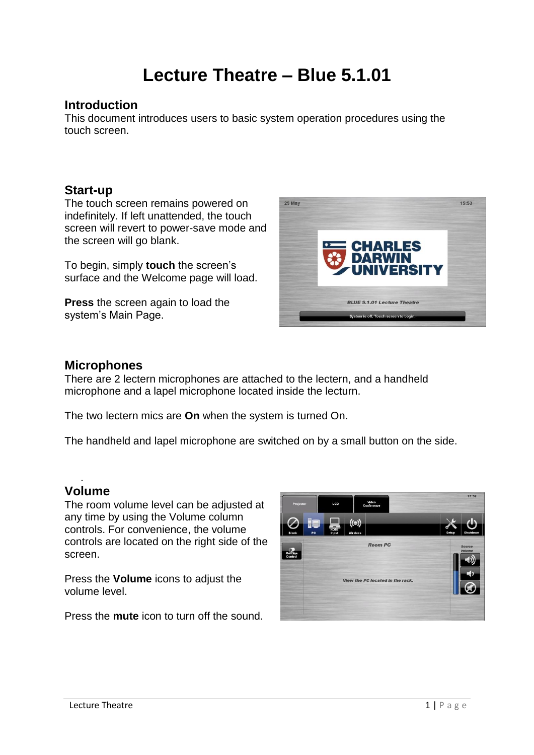# **Lecture Theatre – Blue 5.1.01**

## **Introduction**

This document introduces users to basic system operation procedures using the touch screen.

## **Start-up**

The touch screen remains powered on indefinitely. If left unattended, the touch screen will revert to power-save mode and the screen will go blank.

To begin, simply **touch** the screen's surface and the Welcome page will load.

**Press** the screen again to load the system's Main Page.



## **Microphones**

There are 2 lectern microphones are attached to the lectern, and a handheld microphone and a lapel microphone located inside the lecturn.

The two lectern mics are **On** when the system is turned On.

The handheld and lapel microphone are switched on by a small button on the side.

#### . **Volume**

The room volume level can be adjusted at any time by using the Volume column controls. For convenience, the volume controls are located on the right side of the screen.

Press the **Volume** icons to adjust the volume level.

Press the **mute** icon to turn off the sound.

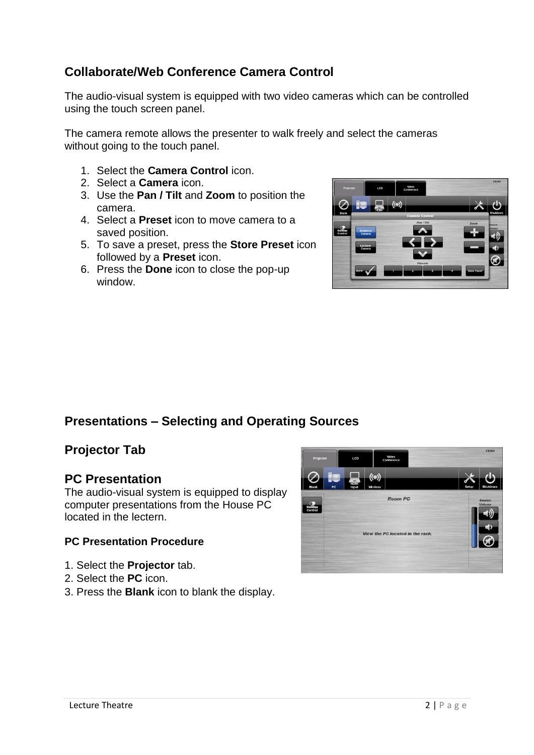## **Collaborate/Web Conference Camera Control**

The audio-visual system is equipped with two video cameras which can be controlled using the touch screen panel.

The camera remote allows the presenter to walk freely and select the cameras without going to the touch panel.

- 1. Select the **Camera Control** icon.
- 2. Select a **Camera** icon.
- 3. Use the **Pan / Tilt** and **Zoom** to position the camera.
- 4. Select a **Preset** icon to move camera to a saved position.
- 5. To save a preset, press the **Store Preset** icon followed by a **Preset** icon.
- 6. Press the **Done** icon to close the pop-up window.



# **Presentations – Selecting and Operating Sources**

## **Projector Tab**

## **PC Presentation**

The audio-visual system is equipped to display computer presentations from the House PC located in the lectern.

## **PC Presentation Procedure**

- 1. Select the **Projector** tab.
- 2. Select the **PC** icon.
- 3. Press the **Blank** icon to blank the display.

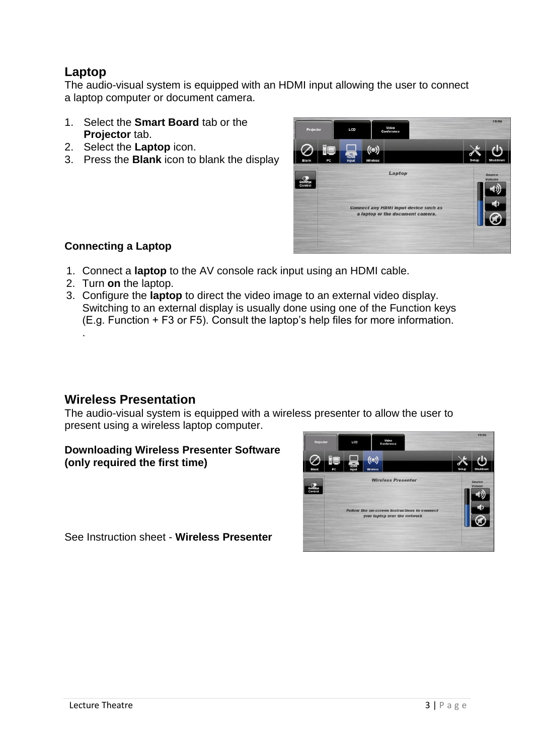## **Laptop**

The audio-visual system is equipped with an HDMI input allowing the user to connect a laptop computer or document camera.

- 1. Select the **Smart Board** tab or the **Projector** tab.
- 2. Select the **Laptop** icon.
- 3. Press the **Blank** icon to blank the display



## **Connecting a Laptop**

- 1. Connect a **laptop** to the AV console rack input using an HDMI cable.
- 2. Turn **on** the laptop.
- 3. Configure the **laptop** to direct the video image to an external video display. Switching to an external display is usually done using one of the Function keys (E.g. Function + F3 or F5). Consult the laptop's help files for more information. .

## **Wireless Presentation**

The audio-visual system is equipped with a wireless presenter to allow the user to present using a wireless laptop computer.

#### **Downloading Wireless Presenter Software (only required the first time)**



See Instruction sheet - **Wireless Presenter**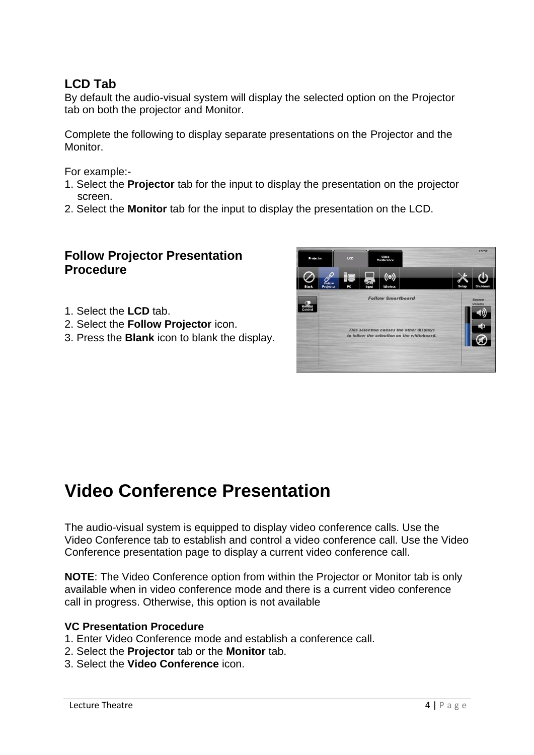## **LCD Tab**

By default the audio-visual system will display the selected option on the Projector tab on both the projector and Monitor.

Complete the following to display separate presentations on the Projector and the **Monitor** 

For example:-

- 1. Select the **Projector** tab for the input to display the presentation on the projector screen.
- 2. Select the **Monitor** tab for the input to display the presentation on the LCD.

## **Follow Projector Presentation Procedure**

- 1. Select the **LCD** tab.
- 2. Select the **Follow Projector** icon.
- 3. Press the **Blank** icon to blank the display.



# **Video Conference Presentation**

The audio-visual system is equipped to display video conference calls. Use the Video Conference tab to establish and control a video conference call. Use the Video Conference presentation page to display a current video conference call.

**NOTE**: The Video Conference option from within the Projector or Monitor tab is only available when in video conference mode and there is a current video conference call in progress. Otherwise, this option is not available

#### **VC Presentation Procedure**

- 1. Enter Video Conference mode and establish a conference call.
- 2. Select the **Projector** tab or the **Monitor** tab.
- 3. Select the **Video Conference** icon.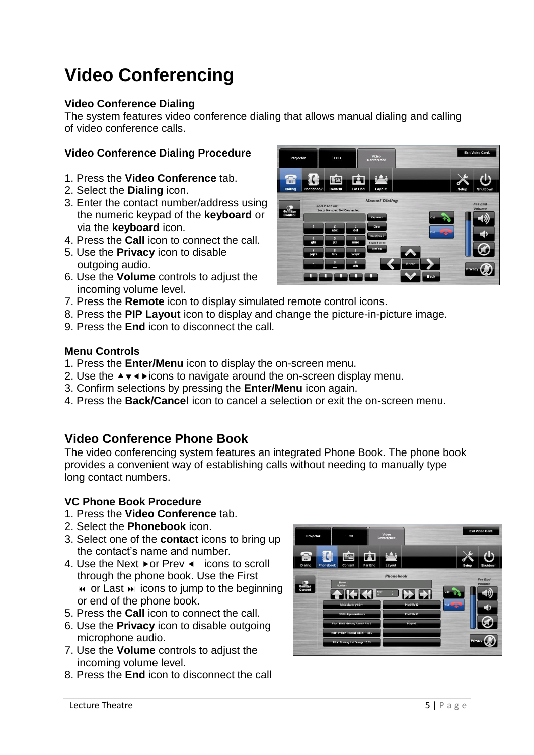# **Video Conferencing**

## **Video Conference Dialing**

The system features video conference dialing that allows manual dialing and calling of video conference calls.

## **Video Conference Dialing Procedure**

- 1. Press the **Video Conference** tab.
- 2. Select the **Dialing** icon.
- 3. Enter the contact number/address using the numeric keypad of the **keyboard** or via the **keyboard** icon.
- 4. Press the **Call** icon to connect the call.
- 5. Use the **Privacy** icon to disable outgoing audio.
- 6. Use the **Volume** controls to adjust the incoming volume level.
- 
- 7. Press the **Remote** icon to display simulated remote control icons.
- 8. Press the **PIP Layout** icon to display and change the picture-in-picture image.
- 9. Press the **End** icon to disconnect the call.

### **Menu Controls**

- 1. Press the **Enter/Menu** icon to display the on-screen menu.
- 2. Use the  $\rightarrow \rightarrow \rightarrow$  icons to navigate around the on-screen display menu.
- 3. Confirm selections by pressing the **Enter/Menu** icon again.
- 4. Press the **Back/Cancel** icon to cancel a selection or exit the on-screen menu.

## **Video Conference Phone Book**

The video conferencing system features an integrated Phone Book. The phone book provides a convenient way of establishing calls without needing to manually type long contact numbers.

### **VC Phone Book Procedure**

- 1. Press the **Video Conference** tab.
- 2. Select the **Phonebook** icon.
- 3. Select one of the **contact** icons to bring up the contact's name and number.
- 4. Use the Next ► or Prev  $\triangleleft$  icons to scroll through the phone book. Use the First  $\mathbf{M}$  or Last  $\mathbf{M}$  icons to jump to the beginning or end of the phone book.
- 5. Press the **Call** icon to connect the call.
- 6. Use the **Privacy** icon to disable outgoing microphone audio.
- 7. Use the **Volume** controls to adjust the incoming volume level.
- 8. Press the **End** icon to disconnect the call

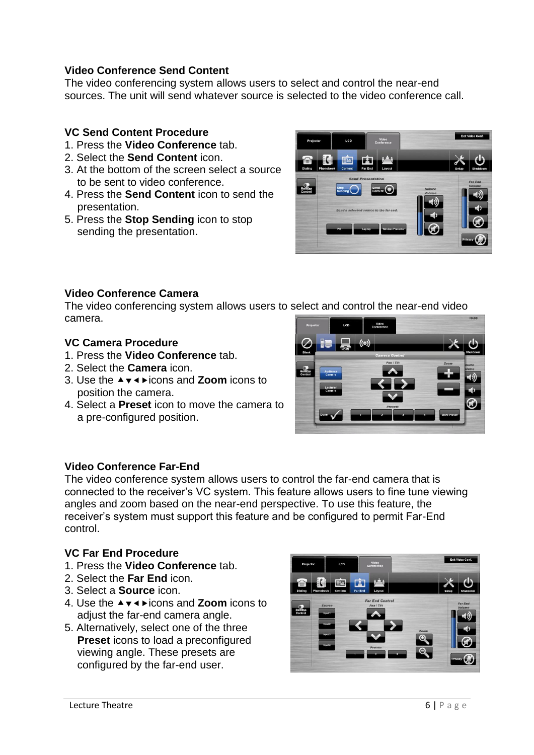## **Video Conference Send Content**

The video conferencing system allows users to select and control the near-end sources. The unit will send whatever source is selected to the video conference call.

## **VC Send Content Procedure**

- 1. Press the **Video Conference** tab.
- 2. Select the **Send Content** icon.
- 3. At the bottom of the screen select a source to be sent to video conference.
- 4. Press the **Send Content** icon to send the presentation.
- 5. Press the **Stop Sending** icon to stop sending the presentation.



## **Video Conference Camera**

The video conferencing system allows users to select and control the near-end video camera.

### **VC Camera Procedure**

- 1. Press the **Video Conference** tab.
- 2. Select the **Camera** icon.
- 3. Use the **A**  $\bullet$  **√**  $\bullet$  **icons and Zoom** icons to position the camera.
- 4. Select a **Preset** icon to move the camera to a pre-configured position.



### **Video Conference Far-End**

The video conference system allows users to control the far-end camera that is connected to the receiver's VC system. This feature allows users to fine tune viewing angles and zoom based on the near-end perspective. To use this feature, the receiver's system must support this feature and be configured to permit Far-End control.

### **VC Far End Procedure**

- 1. Press the **Video Conference** tab.
- 2. Select the **Far End** icon.
- 3. Select a **Source** icon.
- 4. Use the **A∀** The icons and **Zoom** icons to adjust the far-end camera angle.
- 5. Alternatively, select one of the three **Preset** icons to load a preconfigured viewing angle. These presets are configured by the far-end user.

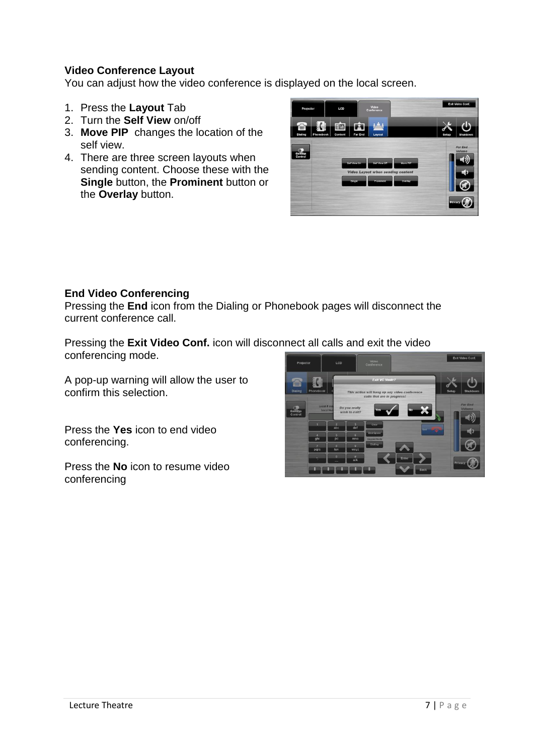## **Video Conference Layout**

You can adjust how the video conference is displayed on the local screen.

- 1. Press the **Layout** Tab
- 2. Turn the **Self View** on/off
- 3. **Move PIP** changes the location of the self view.
- 4. There are three screen layouts when sending content. Choose these with the **Single** button, the **Prominent** button or the **Overlay** button.



## **End Video Conferencing**

Pressing the **End** icon from the Dialing or Phonebook pages will disconnect the current conference call.

Pressing the **Exit Video Conf.** icon will disconnect all calls and exit the video conferencing mode.

A pop-up warning will allow the user to confirm this selection.

Press the **Yes** icon to end video conferencing.

Press the **No** icon to resume video conferencing